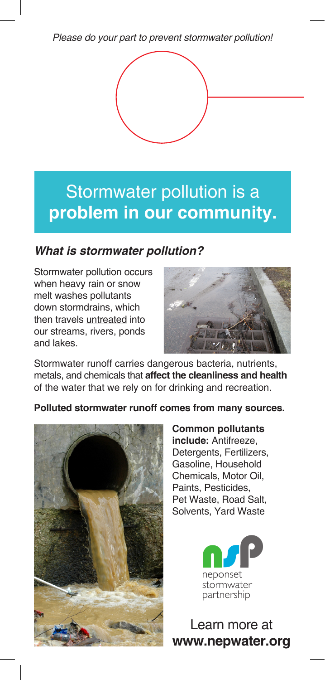Please do your part to prevent stormwater pollution!



## Reforming to replict to the State with the State Western Western to the State Western Terminal State Western to **reduced pollution** is a —and we need **your** help! Stormwater pollution is a **problem in our community.**

## **What is stormwater pollution?**

Stormwater pollution occurs when heavy rain or snow melt washes pollutants down stormdrains, which then travels untreated into our streams, rivers, ponds and lakes.



Stormwater runoff carries dangerous bacteria, nutrients, metals, and chemicals that **affect the cleanliness and health**  of the water that we rely on for drinking and recreation.

**Polluted stormwater runoff comes from many sources.** 



**Common pollutants include:** Antifreeze, Detergents, Fertilizers, Gasoline, Household Chemicals, Motor Oil, Paints, Pesticides, Pet Waste, Road Salt, Solvents, Yard Waste

> n.com stormwater partnership

Learn more at **www.nepwater.org**